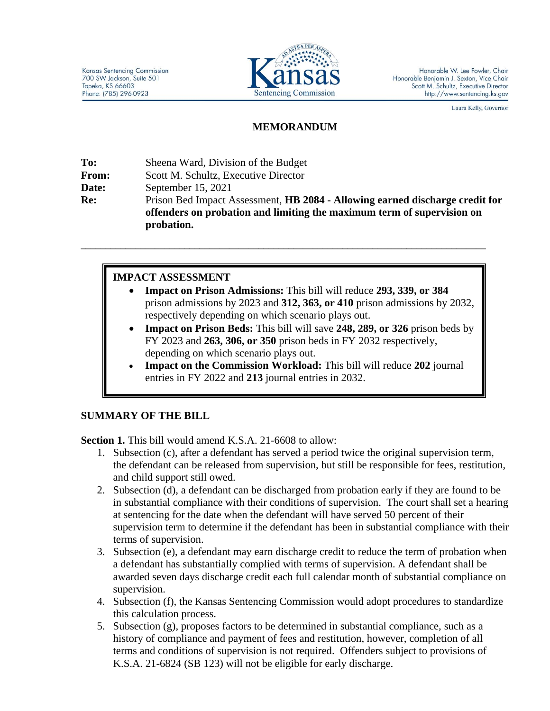

Laura Kelly, Governor

# **MEMORANDUM**

| To:          | Sheena Ward, Division of the Budget                                                 |
|--------------|-------------------------------------------------------------------------------------|
| <b>From:</b> | Scott M. Schultz, Executive Director                                                |
| Date:        | September $15, 2021$                                                                |
| Re:          | Prison Bed Impact Assessment, <b>HB 2084 - Allowing earned discharge credit for</b> |
|              | offenders on probation and limiting the maximum term of supervision on              |
|              | probation.                                                                          |

**\_\_\_\_\_\_\_\_\_\_\_\_\_\_\_\_\_\_\_\_\_\_\_\_\_\_\_\_\_\_\_\_\_\_\_\_\_\_\_\_\_\_\_\_\_\_\_\_\_\_\_\_\_\_\_\_\_\_\_\_\_\_\_\_\_\_\_\_\_\_\_\_\_\_\_\_\_\_\_\_\_\_**

# **IMPACT ASSESSMENT**

- **Impact on Prison Admissions:** This bill will reduce **293, 339, or 384** prison admissions by 2023 and **312, 363, or 410** prison admissions by 2032, respectively depending on which scenario plays out.
- **Impact on Prison Beds:** This bill will save **248, 289, or 326** prison beds by FY 2023 and **263, 306, or 350** prison beds in FY 2032 respectively, depending on which scenario plays out.
- **Impact on the Commission Workload:** This bill will reduce **202** journal entries in FY 2022 and **213** journal entries in 2032.

# **SUMMARY OF THE BILL**

**Section 1.** This bill would amend K.S.A. 21-6608 to allow:

- 1. Subsection (c), after a defendant has served a period twice the original supervision term, the defendant can be released from supervision, but still be responsible for fees, restitution, and child support still owed.
- 2. Subsection (d), a defendant can be discharged from probation early if they are found to be in substantial compliance with their conditions of supervision. The court shall set a hearing at sentencing for the date when the defendant will have served 50 percent of their supervision term to determine if the defendant has been in substantial compliance with their terms of supervision.
- 3. Subsection (e), a defendant may earn discharge credit to reduce the term of probation when a defendant has substantially complied with terms of supervision. A defendant shall be awarded seven days discharge credit each full calendar month of substantial compliance on supervision.
- 4. Subsection (f), the Kansas Sentencing Commission would adopt procedures to standardize this calculation process.
- 5. Subsection  $(g)$ , proposes factors to be determined in substantial compliance, such as a history of compliance and payment of fees and restitution, however, completion of all terms and conditions of supervision is not required. Offenders subject to provisions of K.S.A. 21-6824 (SB 123) will not be eligible for early discharge.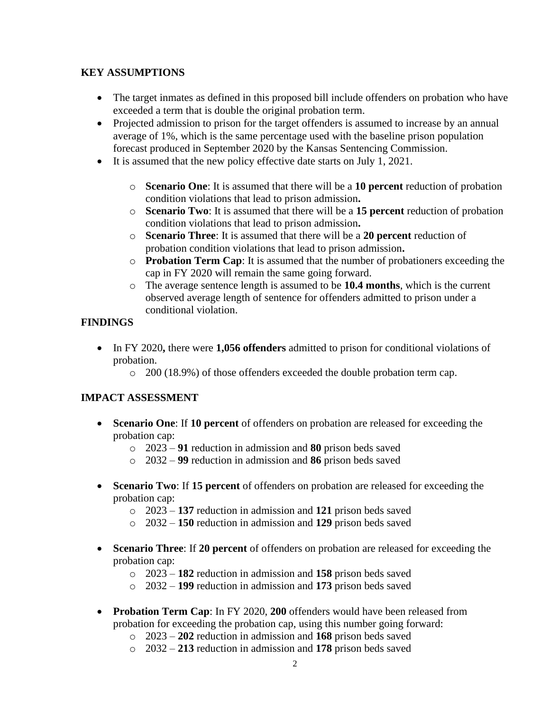### **KEY ASSUMPTIONS**

- The target inmates as defined in this proposed bill include offenders on probation who have exceeded a term that is double the original probation term.
- Projected admission to prison for the target offenders is assumed to increase by an annual average of 1%, which is the same percentage used with the baseline prison population forecast produced in September 2020 by the Kansas Sentencing Commission.
- It is assumed that the new policy effective date starts on July 1, 2021.
	- o **Scenario One**: It is assumed that there will be a **10 percent** reduction of probation condition violations that lead to prison admission**.**
	- o **Scenario Two**: It is assumed that there will be a **15 percent** reduction of probation condition violations that lead to prison admission**.**
	- o **Scenario Three**: It is assumed that there will be a **20 percent** reduction of probation condition violations that lead to prison admission**.**
	- o **Probation Term Cap**: It is assumed that the number of probationers exceeding the cap in FY 2020 will remain the same going forward.
	- o The average sentence length is assumed to be **10.4 months**, which is the current observed average length of sentence for offenders admitted to prison under a conditional violation.

### **FINDINGS**

- In FY 2020, there were **1,056 offenders** admitted to prison for conditional violations of probation.
	- o 200 (18.9%) of those offenders exceeded the double probation term cap.

### **IMPACT ASSESSMENT**

- **Scenario One**: If **10 percent** of offenders on probation are released for exceeding the probation cap:
	- o 2023 **91** reduction in admission and **80** prison beds saved
	- o 2032 **99** reduction in admission and **86** prison beds saved
- **Scenario Two**: If **15 percent** of offenders on probation are released for exceeding the probation cap:
	- o 2023 **137** reduction in admission and **121** prison beds saved
	- o 2032 **150** reduction in admission and **129** prison beds saved
- **Scenario Three**: If **20 percent** of offenders on probation are released for exceeding the probation cap:
	- o 2023 **182** reduction in admission and **158** prison beds saved
	- o 2032 **199** reduction in admission and **173** prison beds saved
- **Probation Term Cap**: In FY 2020, **200** offenders would have been released from probation for exceeding the probation cap, using this number going forward:
	- o 2023 **202** reduction in admission and **168** prison beds saved
	- o 2032 **213** reduction in admission and **178** prison beds saved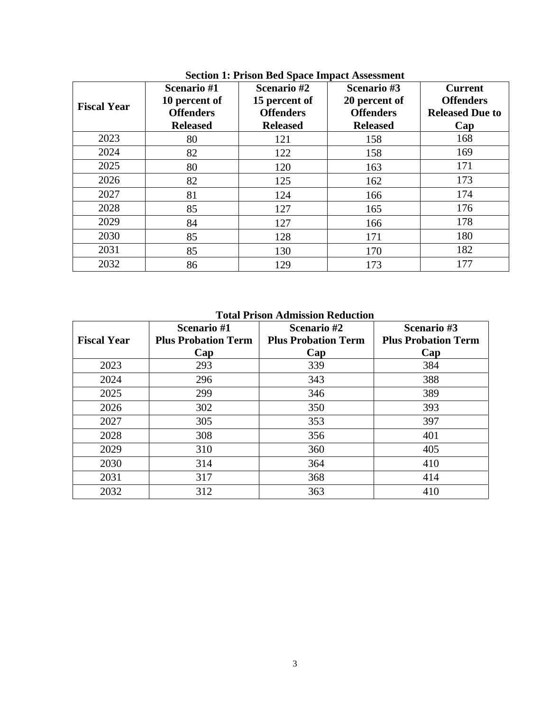| <b>Fiscal Year</b> | Scenario #1<br>10 percent of<br><b>Offenders</b><br><b>Released</b> | Scenario #2<br>15 percent of<br><b>Offenders</b><br><b>Released</b> | Scenario #3<br>20 percent of<br><b>Offenders</b><br><b>Released</b> | <b>Current</b><br><b>Offenders</b><br><b>Released Due to</b><br>Cap |
|--------------------|---------------------------------------------------------------------|---------------------------------------------------------------------|---------------------------------------------------------------------|---------------------------------------------------------------------|
| 2023               | 80                                                                  | 121                                                                 | 158                                                                 | 168                                                                 |
| 2024               | 82                                                                  | 122                                                                 | 158                                                                 | 169                                                                 |
| 2025               | 80                                                                  | 120                                                                 | 163                                                                 | 171                                                                 |
| 2026               | 82                                                                  | 125                                                                 | 162                                                                 | 173                                                                 |
| 2027               | 81                                                                  | 124                                                                 | 166                                                                 | 174                                                                 |
| 2028               | 85                                                                  | 127                                                                 | 165                                                                 | 176                                                                 |
| 2029               | 84                                                                  | 127                                                                 | 166                                                                 | 178                                                                 |
| 2030               | 85                                                                  | 128                                                                 | 171                                                                 | 180                                                                 |
| 2031               | 85                                                                  | 130                                                                 | 170                                                                 | 182                                                                 |
| 2032               | 86                                                                  | 129                                                                 | 173                                                                 | 177                                                                 |

**Section 1: Prison Bed Space Impact Assessment**

**Total Prison Admission Reduction**

| <b>Fiscal Year</b> | Scenario #1<br><b>Plus Probation Term</b> | Scenario #2<br><b>Plus Probation Term</b> | Scenario #3<br><b>Plus Probation Term</b> |
|--------------------|-------------------------------------------|-------------------------------------------|-------------------------------------------|
|                    | Cap                                       | Cap                                       | Cap                                       |
| 2023               | 293                                       | 339                                       | 384                                       |
| 2024               | 296                                       | 343                                       | 388                                       |
| 2025               | 299                                       | 346                                       | 389                                       |
| 2026               | 302                                       | 350                                       | 393                                       |
| 2027               | 305                                       | 353                                       | 397                                       |
| 2028               | 308                                       | 356                                       | 401                                       |
| 2029               | 310                                       | 360                                       | 405                                       |
| 2030               | 314                                       | 364                                       | 410                                       |
| 2031               | 317                                       | 368                                       | 414                                       |
| 2032               | 312                                       | 363                                       | 410                                       |